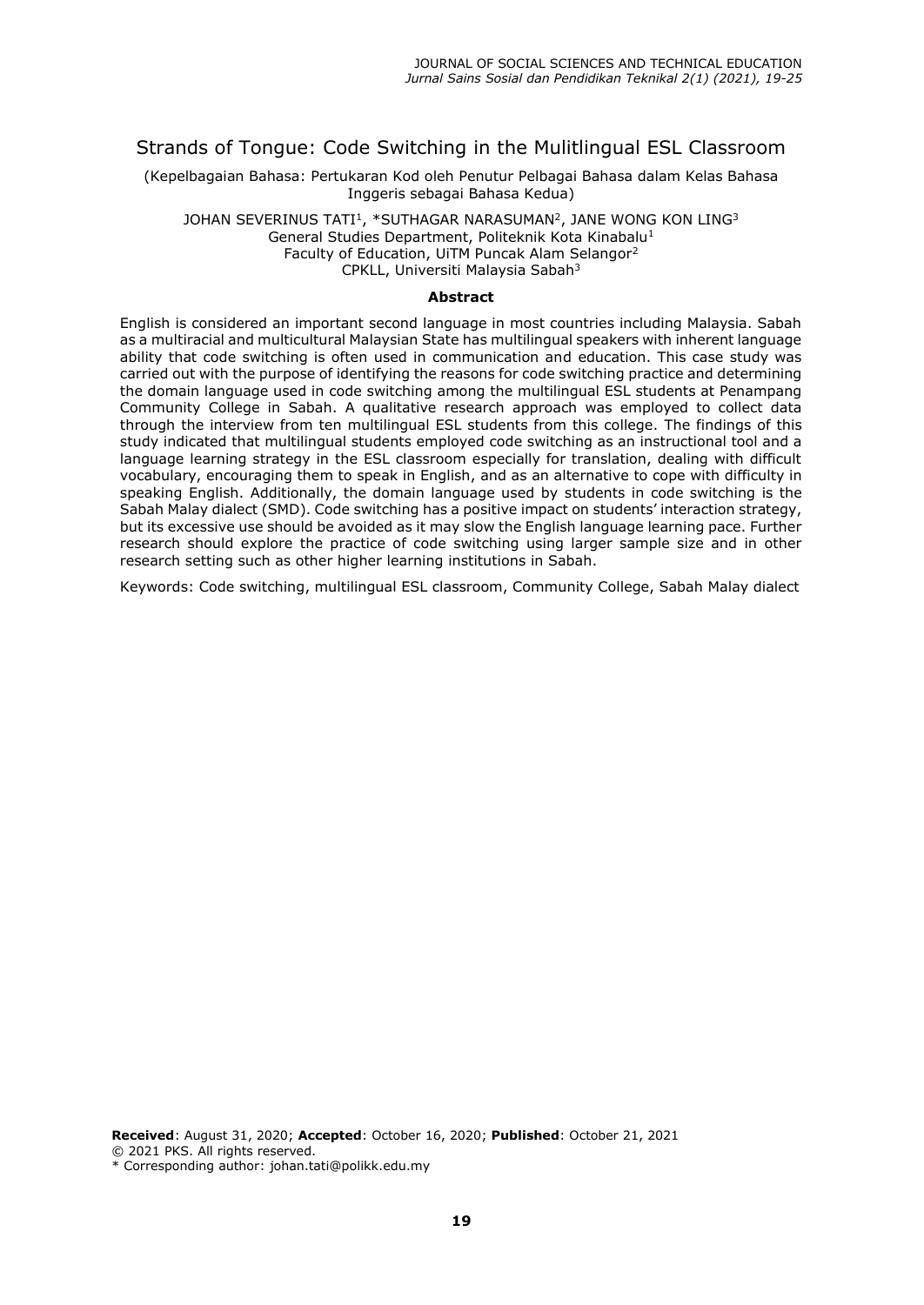# Strands of Tongue: Code Switching in the Mulitlingual ESL Classroom

(Kepelbagaian Bahasa: Pertukaran Kod oleh Penutur Pelbagai Bahasa dalam Kelas Bahasa Inggeris sebagai Bahasa Kedua)

JOHAN SEVERINUS TATI $^1\!,\,$  \*SUTHAGAR NARASUMAN $^2\!,\,$  JANE WONG KON LING $^3$ General Studies Department, Politeknik Kota Kinabalu<sup>1</sup> Faculty of Education, UiTM Puncak Alam Selangor<sup>2</sup> CPKLL, Universiti Malaysia Sabah<sup>3</sup>

#### **Abstract**

English is considered an important second language in most countries including Malaysia. Sabah as a multiracial and multicultural Malaysian State has multilingual speakers with inherent language ability that code switching is often used in communication and education. This case study was carried out with the purpose of identifying the reasons for code switching practice and determining the domain language used in code switching among the multilingual ESL students at Penampang Community College in Sabah. A qualitative research approach was employed to collect data through the interview from ten multilingual ESL students from this college. The findings of this study indicated that multilingual students employed code switching as an instructional tool and a language learning strategy in the ESL classroom especially for translation, dealing with difficult vocabulary, encouraging them to speak in English, and as an alternative to cope with difficulty in speaking English. Additionally, the domain language used by students in code switching is the Sabah Malay dialect (SMD). Code switching has a positive impact on students' interaction strategy, but its excessive use should be avoided as it may slow the English language learning pace. Further research should explore the practice of code switching using larger sample size and in other research setting such as other higher learning institutions in Sabah.

Keywords: Code switching, multilingual ESL classroom, Community College, Sabah Malay dialect

**Received**: August 31, 2020; **Accepted**: October 16, 2020; **Published**: October 21, 2021 © 2021 PKS. All rights reserved. \* Corresponding author: johan.tati@polikk.edu.my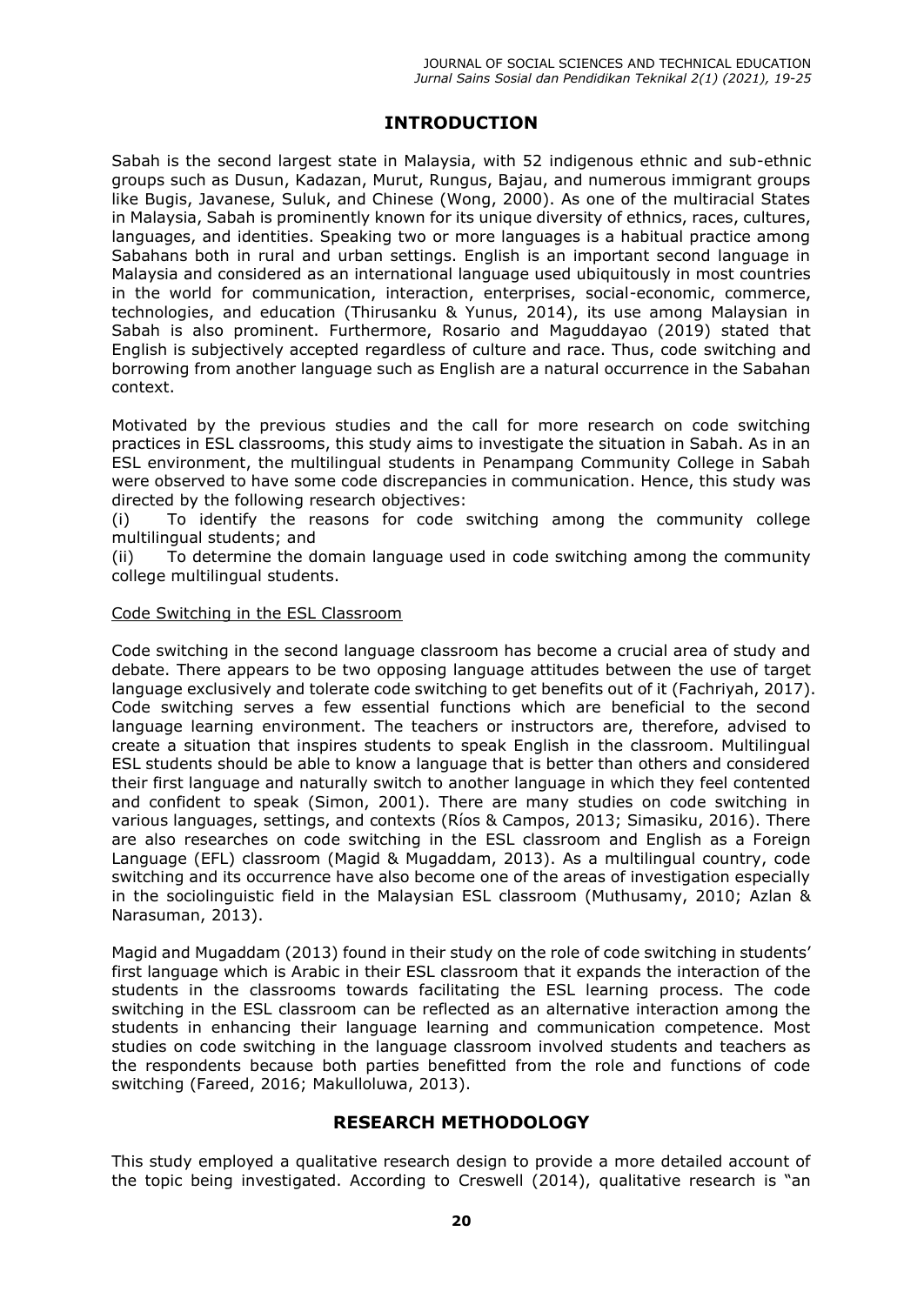# **INTRODUCTION**

Sabah is the second largest state in Malaysia, with 52 indigenous ethnic and sub-ethnic groups such as Dusun, Kadazan, Murut, Rungus, Bajau, and numerous immigrant groups like Bugis, Javanese, Suluk, and Chinese (Wong, 2000). As one of the multiracial States in Malaysia, Sabah is prominently known for its unique diversity of ethnics, races, cultures, languages, and identities. Speaking two or more languages is a habitual practice among Sabahans both in rural and urban settings. English is an important second language in Malaysia and considered as an international language used ubiquitously in most countries in the world for communication, interaction, enterprises, social-economic, commerce, technologies, and education (Thirusanku & Yunus, 2014), its use among Malaysian in Sabah is also prominent. Furthermore, Rosario and Maguddayao (2019) stated that English is subjectively accepted regardless of culture and race. Thus, code switching and borrowing from another language such as English are a natural occurrence in the Sabahan context.

Motivated by the previous studies and the call for more research on code switching practices in ESL classrooms, this study aims to investigate the situation in Sabah. As in an ESL environment, the multilingual students in Penampang Community College in Sabah were observed to have some code discrepancies in communication. Hence, this study was directed by the following research objectives:

(i) To identify the reasons for code switching among the community college multilingual students; and

(ii) To determine the domain language used in code switching among the community college multilingual students.

### Code Switching in the ESL Classroom

Code switching in the second language classroom has become a crucial area of study and debate. There appears to be two opposing language attitudes between the use of target language exclusively and tolerate code switching to get benefits out of it (Fachriyah, 2017). Code switching serves a few essential functions which are beneficial to the second language learning environment. The teachers or instructors are, therefore, advised to create a situation that inspires students to speak English in the classroom. Multilingual ESL students should be able to know a language that is better than others and considered their first language and naturally switch to another language in which they feel contented and confident to speak (Simon, 2001). There are many studies on code switching in various languages, settings, and contexts (Ríos & Campos, 2013; Simasiku, 2016). There are also researches on code switching in the ESL classroom and English as a Foreign Language (EFL) classroom (Magid & Mugaddam, 2013). As a multilingual country, code switching and its occurrence have also become one of the areas of investigation especially in the sociolinguistic field in the Malaysian ESL classroom (Muthusamy, 2010; Azlan & Narasuman, 2013).

Magid and Mugaddam (2013) found in their study on the role of code switching in students' first language which is Arabic in their ESL classroom that it expands the interaction of the students in the classrooms towards facilitating the ESL learning process. The code switching in the ESL classroom can be reflected as an alternative interaction among the students in enhancing their language learning and communication competence. Most studies on code switching in the language classroom involved students and teachers as the respondents because both parties benefitted from the role and functions of code switching (Fareed, 2016; Makulloluwa, 2013).

# **RESEARCH METHODOLOGY**

This study employed a qualitative research design to provide a more detailed account of the topic being investigated. According to Creswell (2014), qualitative research is "an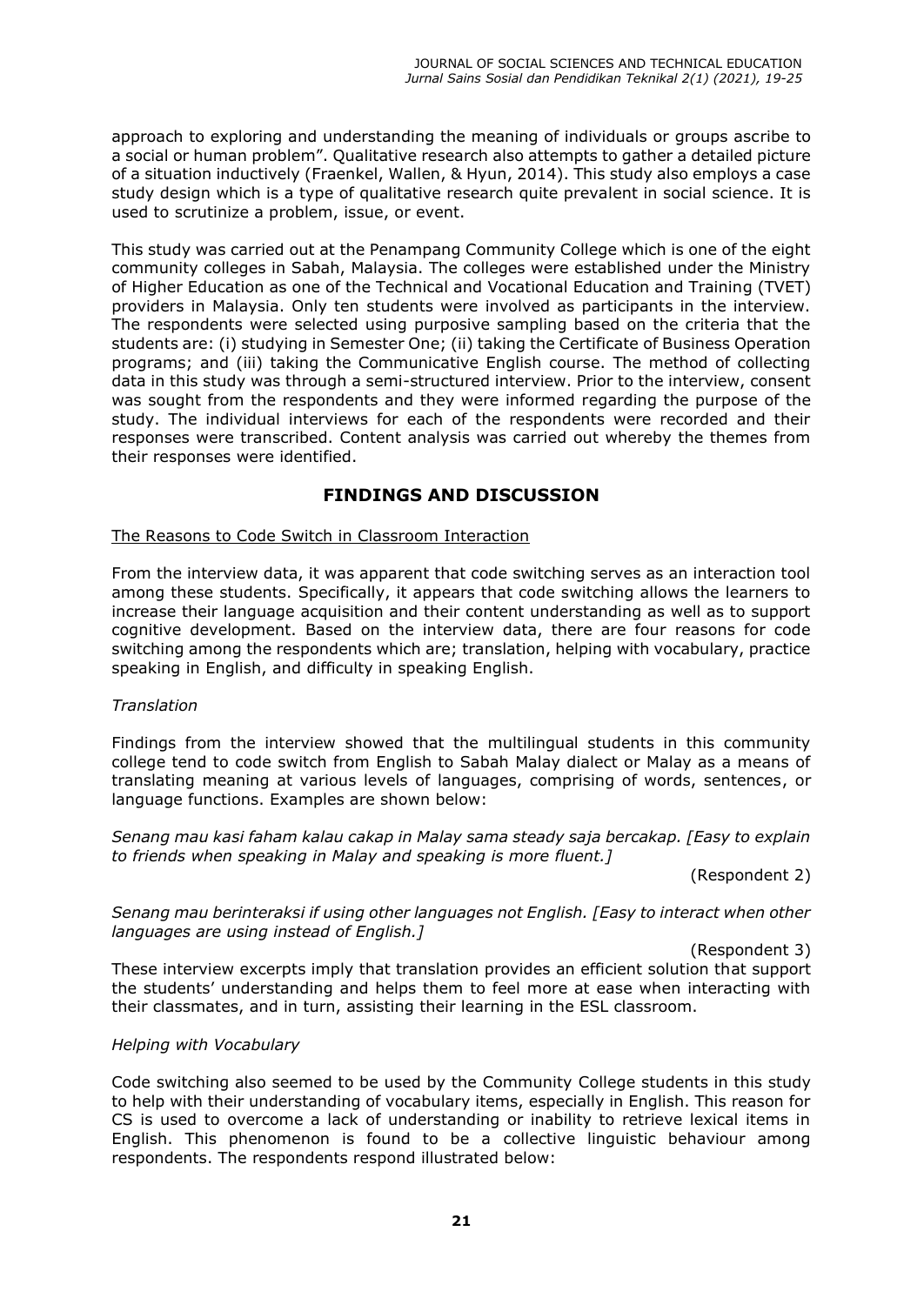approach to exploring and understanding the meaning of individuals or groups ascribe to a social or human problem". Qualitative research also attempts to gather a detailed picture of a situation inductively (Fraenkel, Wallen, & Hyun, 2014). This study also employs a case study design which is a type of qualitative research quite prevalent in social science. It is used to scrutinize a problem, issue, or event.

This study was carried out at the Penampang Community College which is one of the eight community colleges in Sabah, Malaysia. The colleges were established under the Ministry of Higher Education as one of the Technical and Vocational Education and Training (TVET) providers in Malaysia. Only ten students were involved as participants in the interview. The respondents were selected using purposive sampling based on the criteria that the students are: (i) studying in Semester One; (ii) taking the Certificate of Business Operation programs; and (iii) taking the Communicative English course. The method of collecting data in this study was through a semi-structured interview. Prior to the interview, consent was sought from the respondents and they were informed regarding the purpose of the study. The individual interviews for each of the respondents were recorded and their responses were transcribed. Content analysis was carried out whereby the themes from their responses were identified.

# **FINDINGS AND DISCUSSION**

### The Reasons to Code Switch in Classroom Interaction

From the interview data, it was apparent that code switching serves as an interaction tool among these students. Specifically, it appears that code switching allows the learners to increase their language acquisition and their content understanding as well as to support cognitive development. Based on the interview data, there are four reasons for code switching among the respondents which are; translation, helping with vocabulary, practice speaking in English, and difficulty in speaking English.

### *Translation*

Findings from the interview showed that the multilingual students in this community college tend to code switch from English to Sabah Malay dialect or Malay as a means of translating meaning at various levels of languages, comprising of words, sentences, or language functions. Examples are shown below:

*Senang mau kasi faham kalau cakap in Malay sama steady saja bercakap. [Easy to explain to friends when speaking in Malay and speaking is more fluent.]* 

(Respondent 2)

*Senang mau berinteraksi if using other languages not English. [Easy to interact when other languages are using instead of English.]*

(Respondent 3)

These interview excerpts imply that translation provides an efficient solution that support the students' understanding and helps them to feel more at ease when interacting with their classmates, and in turn, assisting their learning in the ESL classroom.

### *Helping with Vocabulary*

Code switching also seemed to be used by the Community College students in this study to help with their understanding of vocabulary items, especially in English. This reason for CS is used to overcome a lack of understanding or inability to retrieve lexical items in English. This phenomenon is found to be a collective linguistic behaviour among respondents. The respondents respond illustrated below: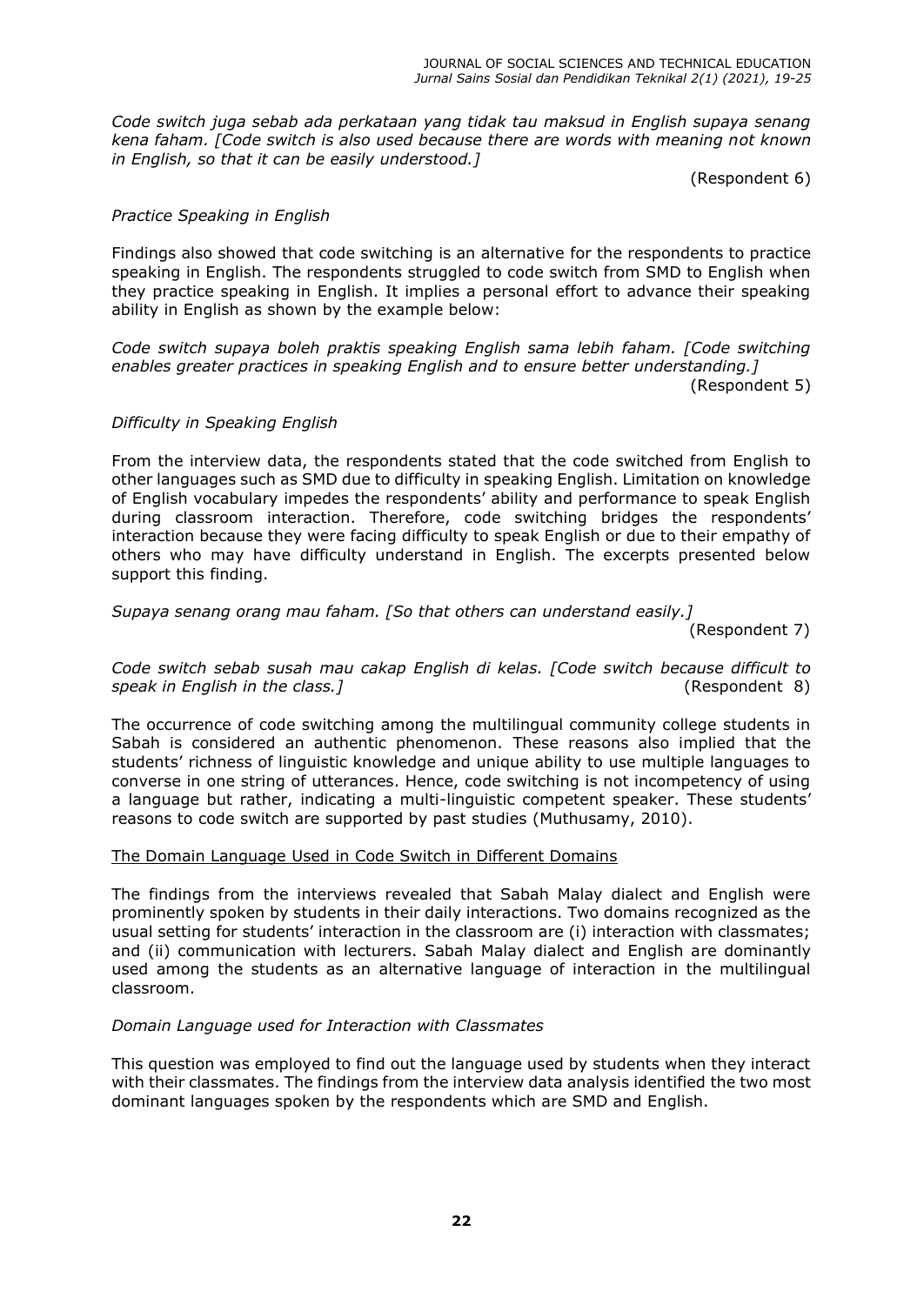*Code switch juga sebab ada perkataan yang tidak tau maksud in English supaya senang kena faham. [Code switch is also used because there are words with meaning not known in English, so that it can be easily understood.]*

(Respondent 6)

## *Practice Speaking in English*

Findings also showed that code switching is an alternative for the respondents to practice speaking in English. The respondents struggled to code switch from SMD to English when they practice speaking in English. It implies a personal effort to advance their speaking ability in English as shown by the example below:

*Code switch supaya boleh praktis speaking English sama lebih faham. [Code switching enables greater practices in speaking English and to ensure better understanding.]* 

(Respondent 5)

## *Difficulty in Speaking English*

From the interview data, the respondents stated that the code switched from English to other languages such as SMD due to difficulty in speaking English. Limitation on knowledge of English vocabulary impedes the respondents' ability and performance to speak English during classroom interaction. Therefore, code switching bridges the respondents' interaction because they were facing difficulty to speak English or due to their empathy of others who may have difficulty understand in English. The excerpts presented below support this finding.

*Supaya senang orang mau faham. [So that others can understand easily.]*

(Respondent 7)

*Code switch sebab susah mau cakap English di kelas. [Code switch because difficult to speak in English in the class.]* (Respondent 8)

The occurrence of code switching among the multilingual community college students in Sabah is considered an authentic phenomenon. These reasons also implied that the students' richness of linguistic knowledge and unique ability to use multiple languages to converse in one string of utterances. Hence, code switching is not incompetency of using a language but rather, indicating a multi-linguistic competent speaker. These students' reasons to code switch are supported by past studies (Muthusamy, 2010).

### The Domain Language Used in Code Switch in Different Domains

The findings from the interviews revealed that Sabah Malay dialect and English were prominently spoken by students in their daily interactions. Two domains recognized as the usual setting for students' interaction in the classroom are (i) interaction with classmates; and (ii) communication with lecturers. Sabah Malay dialect and English are dominantly used among the students as an alternative language of interaction in the multilingual classroom.

### *Domain Language used for Interaction with Classmates*

This question was employed to find out the language used by students when they interact with their classmates. The findings from the interview data analysis identified the two most dominant languages spoken by the respondents which are SMD and English.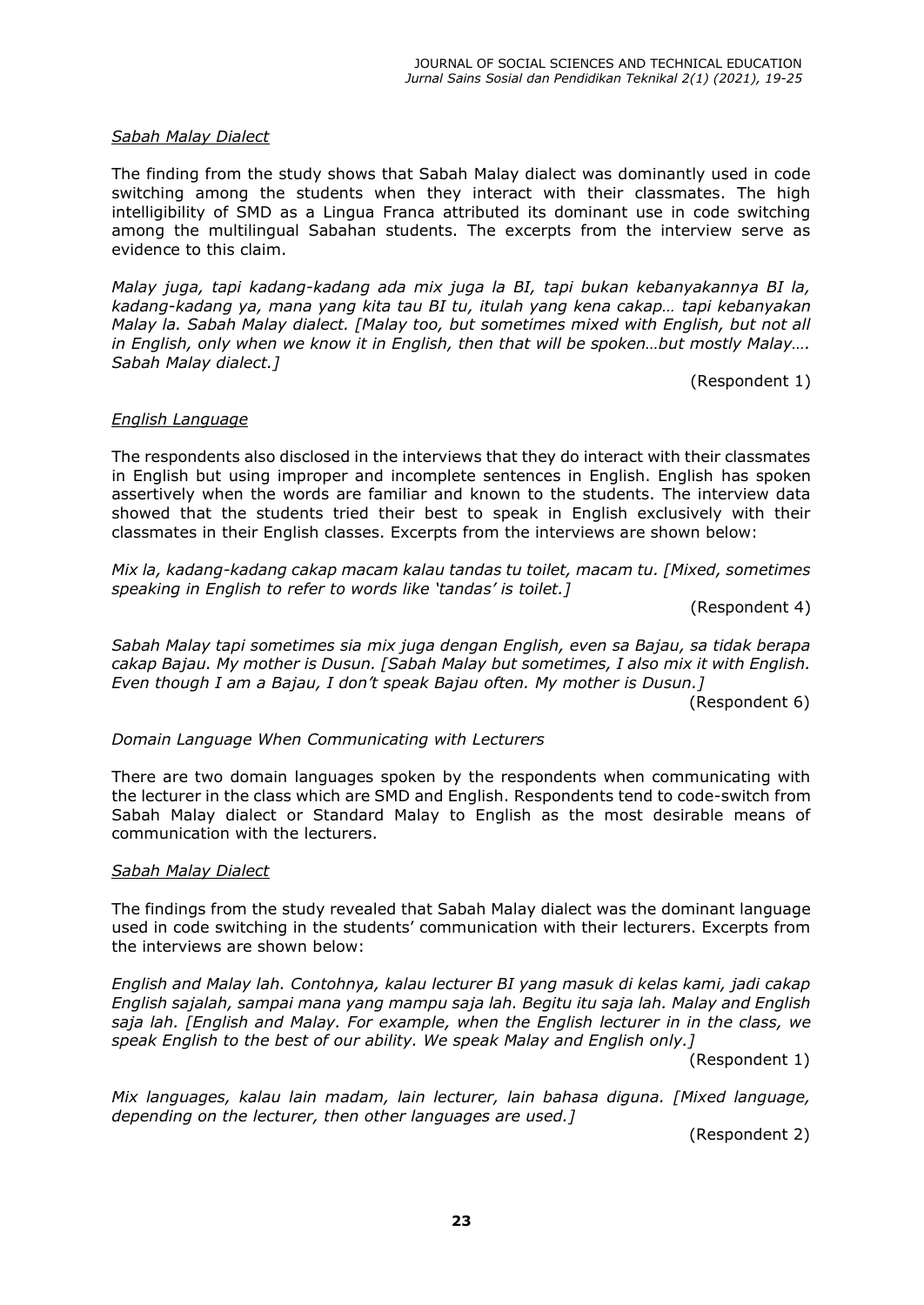#### *Sabah Malay Dialect*

The finding from the study shows that Sabah Malay dialect was dominantly used in code switching among the students when they interact with their classmates. The high intelligibility of SMD as a Lingua Franca attributed its dominant use in code switching among the multilingual Sabahan students. The excerpts from the interview serve as evidence to this claim.

*Malay juga, tapi kadang-kadang ada mix juga la BI, tapi bukan kebanyakannya BI la, kadang-NDGDQJ\DPDQD\DQJNLWDWDX%,WXLWXODK\DQJNHQDFDNDS´ tapi kebanyakan Malay la. Sabah Malay dialect. [Malay too, but sometimes mixed with English, but not all*  in English, only when we know it in English, then that will be spoken...but mostly Malay.... *Sabah Malay dialect.]*

(Respondent 1)

#### *English Language*

The respondents also disclosed in the interviews that they do interact with their classmates in English but using improper and incomplete sentences in English. English has spoken assertively when the words are familiar and known to the students. The interview data showed that the students tried their best to speak in English exclusively with their classmates in their English classes. Excerpts from the interviews are shown below:

*Mix la, kadang-kadang cakap macam kalau tandas tu toilet, macam tu. [Mixed, sometimes*  speaking in English to refer to words like 'tandas' is toilet.1

(Respondent 4)

*Sabah Malay tapi sometimes sia mix juga dengan English, even sa Bajau, sa tidak berapa cakap Bajau. My mother is Dusun. [Sabah Malay but sometimes, I also mix it with English. Even though I am a Bajau, I don't speak Bajau often. My mother is Dusun.]* 

(Respondent 6)

### *Domain Language When Communicating with Lecturers*

There are two domain languages spoken by the respondents when communicating with the lecturer in the class which are SMD and English. Respondents tend to code-switch from Sabah Malay dialect or Standard Malay to English as the most desirable means of communication with the lecturers.

#### *Sabah Malay Dialect*

The findings from the study revealed that Sabah Malay dialect was the dominant language used in code switching in the students' communication with their lecturers. Excerpts from the interviews are shown below:

*English and Malay lah. Contohnya, kalau lecturer BI yang masuk di kelas kami, jadi cakap English sajalah, sampai mana yang mampu saja lah. Begitu itu saja lah. Malay and English saja lah. [English and Malay. For example, when the English lecturer in in the class, we speak English to the best of our ability. We speak Malay and English only.]*

(Respondent 1)

*Mix languages, kalau lain madam, lain lecturer, lain bahasa diguna. [Mixed language, depending on the lecturer, then other languages are used.]*

(Respondent 2)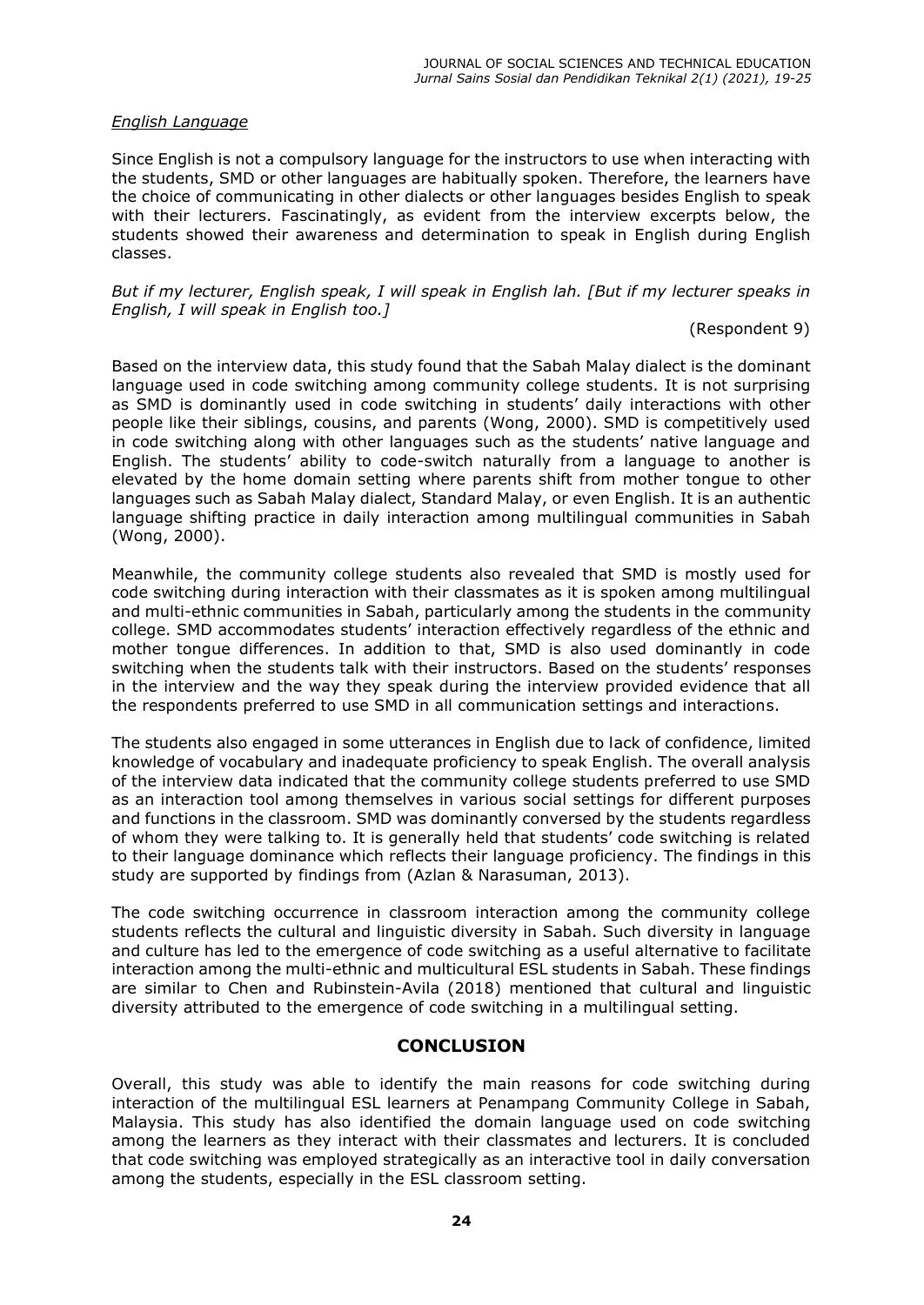## *English Language*

Since English is not a compulsory language for the instructors to use when interacting with the students, SMD or other languages are habitually spoken. Therefore, the learners have the choice of communicating in other dialects or other languages besides English to speak with their lecturers. Fascinatingly, as evident from the interview excerpts below, the students showed their awareness and determination to speak in English during English classes.

*But if my lecturer, English speak, I will speak in English lah. [But if my lecturer speaks in English, I will speak in English too.]*

### (Respondent 9)

Based on the interview data, this study found that the Sabah Malay dialect is the dominant language used in code switching among community college students. It is not surprising as SMD is dominantly used in code switching in students' daily interactions with other people like their siblings, cousins, and parents (Wong, 2000). SMD is competitively used in code switching along with other languages such as the students' native language and English. The students' ability to code-switch naturally from a language to another is elevated by the home domain setting where parents shift from mother tongue to other languages such as Sabah Malay dialect, Standard Malay, or even English. It is an authentic language shifting practice in daily interaction among multilingual communities in Sabah (Wong, 2000).

Meanwhile, the community college students also revealed that SMD is mostly used for code switching during interaction with their classmates as it is spoken among multilingual and multi-ethnic communities in Sabah, particularly among the students in the community college. SMD accommodates students' interaction effectively regardless of the ethnic and mother tongue differences. In addition to that, SMD is also used dominantly in code switching when the students talk with their instructors. Based on the students' responses in the interview and the way they speak during the interview provided evidence that all the respondents preferred to use SMD in all communication settings and interactions.

The students also engaged in some utterances in English due to lack of confidence, limited knowledge of vocabulary and inadequate proficiency to speak English. The overall analysis of the interview data indicated that the community college students preferred to use SMD as an interaction tool among themselves in various social settings for different purposes and functions in the classroom. SMD was dominantly conversed by the students regardless of whom they were talking to. It is generally held that students' code switching is related to their language dominance which reflects their language proficiency. The findings in this study are supported by findings from (Azlan & Narasuman, 2013).

The code switching occurrence in classroom interaction among the community college students reflects the cultural and linguistic diversity in Sabah. Such diversity in language and culture has led to the emergence of code switching as a useful alternative to facilitate interaction among the multi-ethnic and multicultural ESL students in Sabah. These findings are similar to Chen and Rubinstein-Avila (2018) mentioned that cultural and linguistic diversity attributed to the emergence of code switching in a multilingual setting.

# **CONCLUSION**

Overall, this study was able to identify the main reasons for code switching during interaction of the multilingual ESL learners at Penampang Community College in Sabah, Malaysia. This study has also identified the domain language used on code switching among the learners as they interact with their classmates and lecturers. It is concluded that code switching was employed strategically as an interactive tool in daily conversation among the students, especially in the ESL classroom setting.